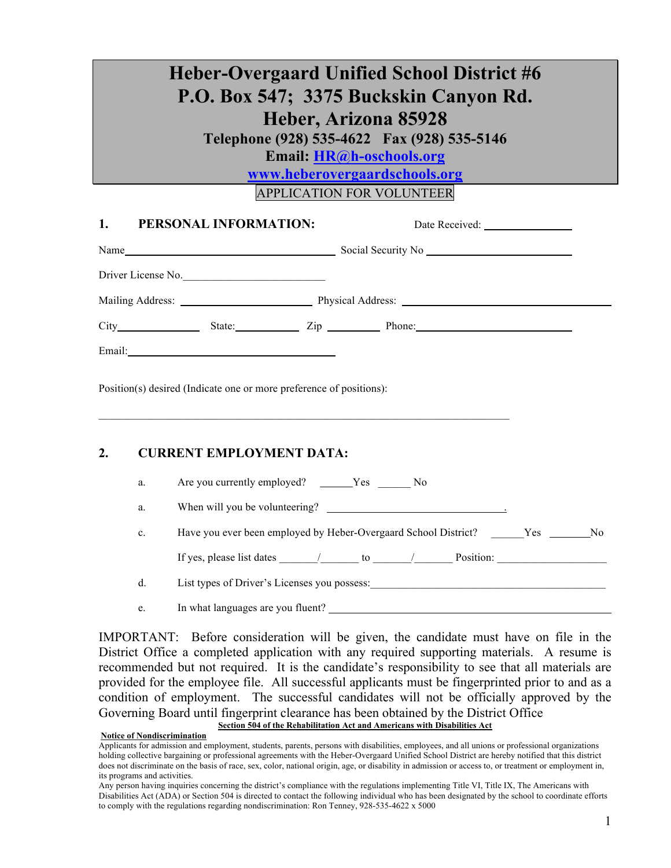# **Heber-Overgaard Unified School District #6 P.O. Box 547; 3375 Buckskin Canyon Rd. Heber, Arizona 85928 Telephone (928) 535-4622 Fax (928) 535-5146 Email: HR@h-oschools.org www.heberovergaardschools.org**

APPLICATION FOR VOLUNTEER

| 1. PERSONAL INFORMATION:                                            |                               |
|---------------------------------------------------------------------|-------------------------------|
|                                                                     |                               |
| Driver License No.                                                  |                               |
|                                                                     |                               |
|                                                                     | City State: Zip Phone: Phone: |
| Email: <u>Email:</u>                                                |                               |
| Position(s) desired (Indicate one or more preference of positions): |                               |
|                                                                     |                               |

#### **2. CURRENT EMPLOYMENT DATA:**

| Are you currently employed?    | Y es |  |  |
|--------------------------------|------|--|--|
| When will you be volunteering? |      |  |  |

c. Have you ever been employed by Heber-Overgaard School District? Yes No

If yes, please list dates \_\_\_\_\_\_\_/\_\_\_\_\_\_\_ to \_\_\_\_\_\_\_/\_\_\_\_\_\_\_ Position: \_\_\_\_\_\_\_\_\_\_\_\_\_\_\_\_\_\_\_\_

d. List types of Driver's Licenses you possess:\_\_\_\_\_\_\_\_\_\_\_\_\_\_\_\_\_\_\_\_\_\_\_\_\_\_\_\_\_\_\_\_\_\_\_\_\_\_\_\_\_\_\_

e. In what languages are you fluent?

IMPORTANT: Before consideration will be given, the candidate must have on file in the District Office a completed application with any required supporting materials. A resume is recommended but not required. It is the candidate's responsibility to see that all materials are provided for the employee file. All successful applicants must be fingerprinted prior to and as a condition of employment. The successful candidates will not be officially approved by the Governing Board until fingerprint clearance has been obtained by the District Office **Section 504 of the Rehabilitation Act and Americans with Disabilities Act**

#### **Notice of Nondiscrimination**

Applicants for admission and employment, students, parents, persons with disabilities, employees, and all unions or professional organizations holding collective bargaining or professional agreements with the Heber-Overgaard Unified School District are hereby notified that this district does not discriminate on the basis of race, sex, color, national origin, age, or disability in admission or access to, or treatment or employment in, its programs and activities.

Any person having inquiries concerning the district's compliance with the regulations implementing Title VI, Title IX, The Americans with Disabilities Act (ADA) or Section 504 is directed to contact the following individual who has been designated by the school to coordinate efforts to comply with the regulations regarding nondiscrimination: Ron Tenney, 928-535-4622 x 5000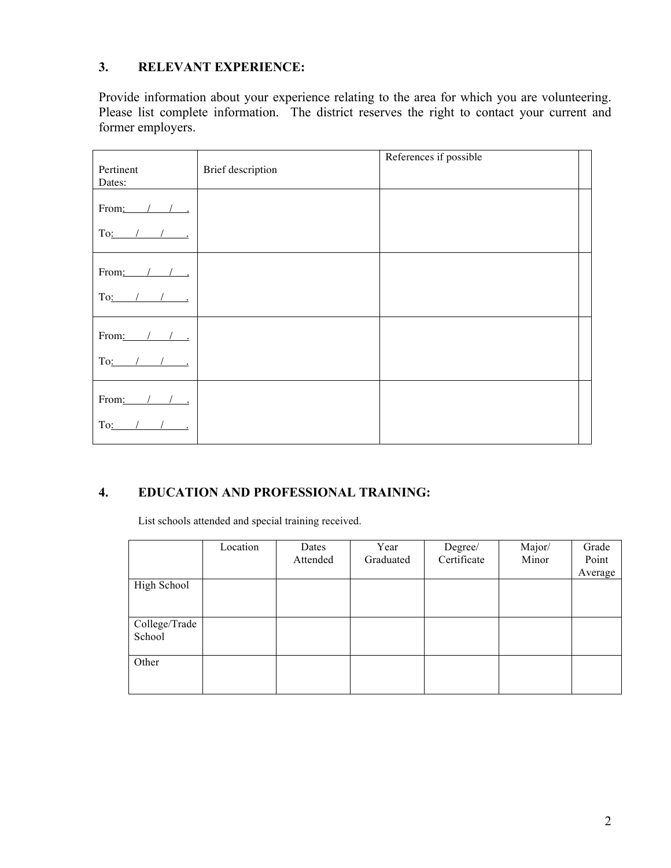### **3. RELEVANT EXPERIENCE:**

Provide information about your experience relating to the area for which you are volunteering. Please list complete information. The district reserves the right to contact your current and former employers.

| Pertinent<br>Dates: | Brief description | References if possible |
|---------------------|-------------------|------------------------|
| From:               |                   |                        |
| To:                 |                   |                        |
| From:               |                   |                        |
| To:                 |                   |                        |
| From: $1$           |                   |                        |
| To:                 |                   |                        |
| From: $/$ /         |                   |                        |
| To:                 |                   |                        |

## **4. EDUCATION AND PROFESSIONAL TRAINING:**

List schools attended and special training received.

|                         | Location | Dates    | Year      | Degree/<br>Certificate | Major/ | Grade            |
|-------------------------|----------|----------|-----------|------------------------|--------|------------------|
|                         |          | Attended | Graduated |                        | Minor  | Point<br>Average |
| High School             |          |          |           |                        |        |                  |
| College/Trade<br>School |          |          |           |                        |        |                  |
| Other                   |          |          |           |                        |        |                  |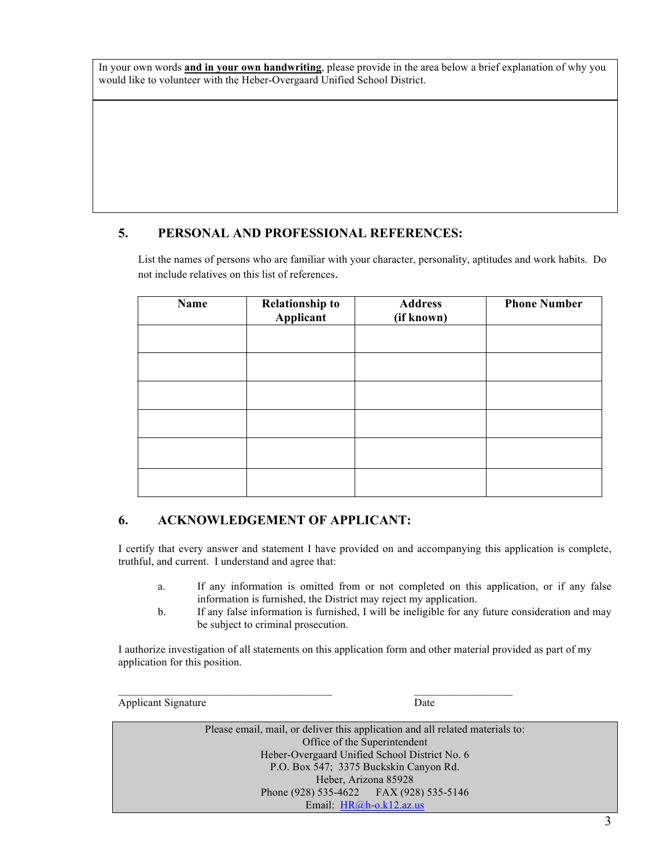In your own words **and in your own handwriting**, please provide in the area below a brief explanation of why you would like to volunteer with the Heber-Overgaard Unified School District.

#### **5. PERSONAL AND PROFESSIONAL REFERENCES:**

List the names of persons who are familiar with your character, personality, aptitudes and work habits. Do not include relatives on this list of references.

| Name | <b>Relationship to</b><br>Applicant | <b>Address</b><br>(if known) | <b>Phone Number</b> |
|------|-------------------------------------|------------------------------|---------------------|
|      |                                     |                              |                     |
|      |                                     |                              |                     |
|      |                                     |                              |                     |
|      |                                     |                              |                     |
|      |                                     |                              |                     |
|      |                                     |                              |                     |

#### **6. ACKNOWLEDGEMENT OF APPLICANT:**

I certify that every answer and statement I have provided on and accompanying this application is complete, truthful, and current. I understand and agree that:

- a. If any information is omitted from or not completed on this application, or if any false information is furnished, the District may reject my application.
- b. If any false information is furnished, I will be ineligible for any future consideration and may be subject to criminal prosecution.

I authorize investigation of all statements on this application form and other material provided as part of my application for this position.

Applicant Signature Date

Please email, mail, or deliver this application and all related materials to: Office of the Superintendent Heber-Overgaard Unified School District No. 6 P.O. Box 547; 3375 Buckskin Canyon Rd. Heber, Arizona 85928 Phone (928) 535-4622 FAX (928) 535-5146 Email: HR@h-o.k12.az.us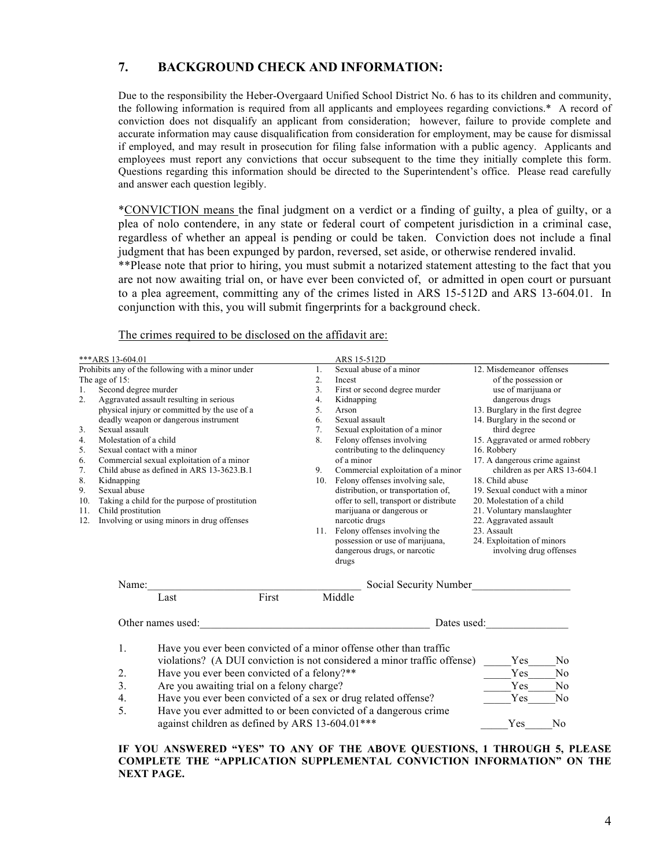#### **7. BACKGROUND CHECK AND INFORMATION:**

Due to the responsibility the Heber-Overgaard Unified School District No. 6 has to its children and community, the following information is required from all applicants and employees regarding convictions.\* A record of conviction does not disqualify an applicant from consideration; however, failure to provide complete and accurate information may cause disqualification from consideration for employment, may be cause for dismissal if employed, and may result in prosecution for filing false information with a public agency. Applicants and employees must report any convictions that occur subsequent to the time they initially complete this form. Questions regarding this information should be directed to the Superintendent's office. Please read carefully and answer each question legibly.

\*CONVICTION means the final judgment on a verdict or a finding of guilty, a plea of guilty, or a plea of nolo contendere, in any state or federal court of competent jurisdiction in a criminal case, regardless of whether an appeal is pending or could be taken. Conviction does not include a final judgment that has been expunged by pardon, reversed, set aside, or otherwise rendered invalid.

\*\*Please note that prior to hiring, you must submit a notarized statement attesting to the fact that you are not now awaiting trial on, or have ever been convicted of, or admitted in open court or pursuant to a plea agreement, committing any of the crimes listed in ARS 15-512D and ARS 13-604.01. In conjunction with this, you will submit fingerprints for a background check.

| ***ARS 13-604.01                                                                                                                                                                                                                                                                                                                                                                                                                                                                                                                                                                                                                    | ARS 15-512D                                                                                                                                                                                                                                                                                                                                                                                                                                                                                                                                                                                                                                                                                                                                                                                                                                                                                                                                                                                                                                                                                                                                           |                                              |
|-------------------------------------------------------------------------------------------------------------------------------------------------------------------------------------------------------------------------------------------------------------------------------------------------------------------------------------------------------------------------------------------------------------------------------------------------------------------------------------------------------------------------------------------------------------------------------------------------------------------------------------|-------------------------------------------------------------------------------------------------------------------------------------------------------------------------------------------------------------------------------------------------------------------------------------------------------------------------------------------------------------------------------------------------------------------------------------------------------------------------------------------------------------------------------------------------------------------------------------------------------------------------------------------------------------------------------------------------------------------------------------------------------------------------------------------------------------------------------------------------------------------------------------------------------------------------------------------------------------------------------------------------------------------------------------------------------------------------------------------------------------------------------------------------------|----------------------------------------------|
| Prohibits any of the following with a minor under<br>The age of 15:<br>Second degree murder<br>1.<br>2.<br>Aggravated assault resulting in serious<br>physical injury or committed by the use of a<br>deadly weapon or dangerous instrument<br>3.<br>Sexual assault<br>Molestation of a child<br>4.<br>Sexual contact with a minor<br>5.<br>6.<br>Commercial sexual exploitation of a minor<br>7.<br>Child abuse as defined in ARS 13-3623.B.1<br>8.<br>Kidnapping<br>9.<br>Sexual abuse<br>Taking a child for the purpose of prostitution<br>10.<br>Child prostitution<br>11.<br>Involving or using minors in drug offenses<br>12. | 12. Misdemeanor offenses<br>Sexual abuse of a minor<br>1.<br>2.<br>of the possession or<br>Incest<br>3 <sub>1</sub><br>First or second degree murder<br>use of marijuana or<br>dangerous drugs<br>4.<br>Kidnapping<br>5.<br>13. Burglary in the first degree<br>Arson<br>14. Burglary in the second or<br>Sexual assault<br>6.<br>7.<br>Sexual exploitation of a minor<br>third degree<br>15. Aggravated or armed robbery<br>8.<br>Felony offenses involving<br>contributing to the delinquency<br>16. Robbery<br>17. A dangerous crime against<br>of a minor<br>Commercial exploitation of a minor<br>children as per ARS 13-604.1<br>9.<br>10. Felony offenses involving sale,<br>18. Child abuse<br>distribution, or transportation of,<br>19. Sexual conduct with a minor<br>offer to sell, transport or distribute<br>20. Molestation of a child<br>marijuana or dangerous or<br>21. Voluntary manslaughter<br>narcotic drugs<br>22. Aggravated assault<br>11. Felony offenses involving the<br>23. Assault<br>possession or use of marijuana,<br>24. Exploitation of minors<br>dangerous drugs, or narcotic<br>involving drug offenses<br>drugs |                                              |
| Name: $\frac{1}{\sqrt{1-\frac{1}{2}}\cdot\frac{1}{\sqrt{1-\frac{1}{2}}}}$                                                                                                                                                                                                                                                                                                                                                                                                                                                                                                                                                           | Social Security Number                                                                                                                                                                                                                                                                                                                                                                                                                                                                                                                                                                                                                                                                                                                                                                                                                                                                                                                                                                                                                                                                                                                                |                                              |
| First<br>Last                                                                                                                                                                                                                                                                                                                                                                                                                                                                                                                                                                                                                       | Middle                                                                                                                                                                                                                                                                                                                                                                                                                                                                                                                                                                                                                                                                                                                                                                                                                                                                                                                                                                                                                                                                                                                                                |                                              |
| Other names used:                                                                                                                                                                                                                                                                                                                                                                                                                                                                                                                                                                                                                   | Dates used:<br><u> 1989 - Johann Stein, mars an deus Amerikaansk kommunister (</u>                                                                                                                                                                                                                                                                                                                                                                                                                                                                                                                                                                                                                                                                                                                                                                                                                                                                                                                                                                                                                                                                    |                                              |
| 1.<br>Have you ever been convicted of a minor offense other than traffic<br>2.<br>Have you ever been convicted of a felony?**<br>3.<br>Are you awaiting trial on a felony charge?<br>Have you ever been convicted of a sex or drug related offense?<br>4.<br>5.                                                                                                                                                                                                                                                                                                                                                                     | violations? (A DUI conviction is not considered a minor traffic offense)<br>Yes<br>Yes<br>Yes<br>Yes                                                                                                                                                                                                                                                                                                                                                                                                                                                                                                                                                                                                                                                                                                                                                                                                                                                                                                                                                                                                                                                  | N <sub>0</sub><br>N <sub>o</sub><br>No<br>No |
| Have you ever admitted to or been convicted of a dangerous crime<br>against children as defined by ARS 13-604.01***                                                                                                                                                                                                                                                                                                                                                                                                                                                                                                                 | Yes                                                                                                                                                                                                                                                                                                                                                                                                                                                                                                                                                                                                                                                                                                                                                                                                                                                                                                                                                                                                                                                                                                                                                   | N <sub>0</sub>                               |

#### The crimes required to be disclosed on the affidavit are:

**IF YOU ANSWERED "YES" TO ANY OF THE ABOVE QUESTIONS, 1 THROUGH 5, PLEASE COMPLETE THE "APPLICATION SUPPLEMENTAL CONVICTION INFORMATION" ON THE NEXT PAGE.**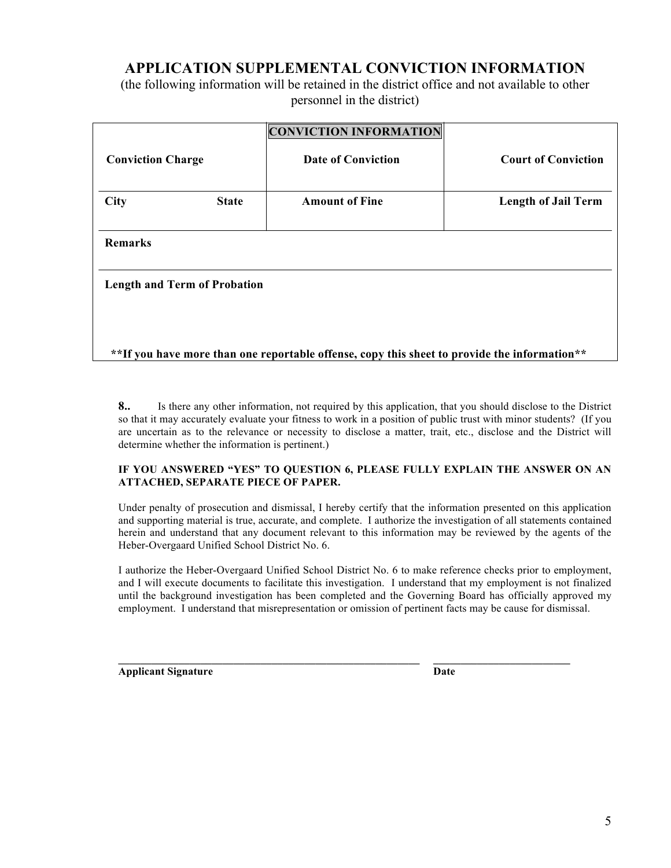# **APPLICATION SUPPLEMENTAL CONVICTION INFORMATION**

(the following information will be retained in the district office and not available to other personnel in the district)

|                                                                                              |              | <b>CONVICTION INFORMATION</b> |                            |  |
|----------------------------------------------------------------------------------------------|--------------|-------------------------------|----------------------------|--|
| <b>Conviction Charge</b>                                                                     |              | <b>Date of Conviction</b>     | <b>Court of Conviction</b> |  |
|                                                                                              |              |                               |                            |  |
| <b>City</b>                                                                                  | <b>State</b> | <b>Amount of Fine</b>         | <b>Length of Jail Term</b> |  |
|                                                                                              |              |                               |                            |  |
| <b>Remarks</b>                                                                               |              |                               |                            |  |
|                                                                                              |              |                               |                            |  |
| <b>Length and Term of Probation</b>                                                          |              |                               |                            |  |
|                                                                                              |              |                               |                            |  |
|                                                                                              |              |                               |                            |  |
|                                                                                              |              |                               |                            |  |
| **If you have more than one reportable offense, copy this sheet to provide the information** |              |                               |                            |  |

**8..** Is there any other information, not required by this application, that you should disclose to the District so that it may accurately evaluate your fitness to work in a position of public trust with minor students? (If you are uncertain as to the relevance or necessity to disclose a matter, trait, etc., disclose and the District will determine whether the information is pertinent.)

#### **IF YOU ANSWERED "YES" TO QUESTION 6, PLEASE FULLY EXPLAIN THE ANSWER ON AN ATTACHED, SEPARATE PIECE OF PAPER.**

Under penalty of prosecution and dismissal, I hereby certify that the information presented on this application and supporting material is true, accurate, and complete. I authorize the investigation of all statements contained herein and understand that any document relevant to this information may be reviewed by the agents of the Heber-Overgaard Unified School District No. 6.

I authorize the Heber-Overgaard Unified School District No. 6 to make reference checks prior to employment, and I will execute documents to facilitate this investigation. I understand that my employment is not finalized until the background investigation has been completed and the Governing Board has officially approved my employment. I understand that misrepresentation or omission of pertinent facts may be cause for dismissal.

**Applicant Signature Date**